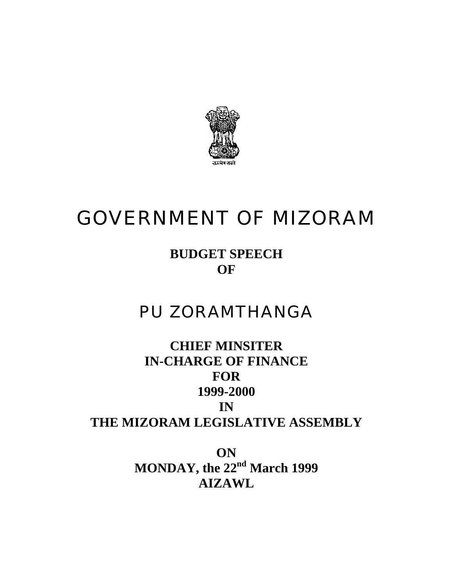

# GOVERNMENT OF MIZORAM

**BUDGET SPEECH OF** 

# PU ZORAMTHANGA

**CHIEF MINSITER IN-CHARGE OF FINANCE FOR 1999-2000 IN THE MIZORAM LEGISLATIVE ASSEMBLY** 

> **ON MONDAY, the 22nd March 1999 AIZAWL**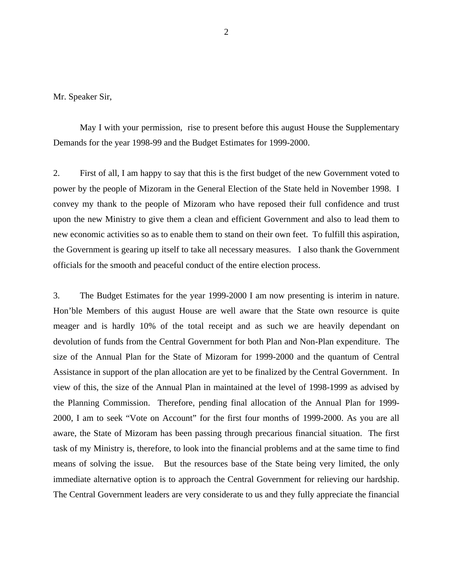Mr. Speaker Sir,

May I with your permission, rise to present before this august House the Supplementary Demands for the year 1998-99 and the Budget Estimates for 1999-2000.

2. First of all, I am happy to say that this is the first budget of the new Government voted to power by the people of Mizoram in the General Election of the State held in November 1998. I convey my thank to the people of Mizoram who have reposed their full confidence and trust upon the new Ministry to give them a clean and efficient Government and also to lead them to new economic activities so as to enable them to stand on their own feet. To fulfill this aspiration, the Government is gearing up itself to take all necessary measures. I also thank the Government officials for the smooth and peaceful conduct of the entire election process.

3. The Budget Estimates for the year 1999-2000 I am now presenting is interim in nature. Hon'ble Members of this august House are well aware that the State own resource is quite meager and is hardly 10% of the total receipt and as such we are heavily dependant on devolution of funds from the Central Government for both Plan and Non-Plan expenditure. The size of the Annual Plan for the State of Mizoram for 1999-2000 and the quantum of Central Assistance in support of the plan allocation are yet to be finalized by the Central Government. In view of this, the size of the Annual Plan in maintained at the level of 1998-1999 as advised by the Planning Commission. Therefore, pending final allocation of the Annual Plan for 1999- 2000, I am to seek "Vote on Account" for the first four months of 1999-2000. As you are all aware, the State of Mizoram has been passing through precarious financial situation. The first task of my Ministry is, therefore, to look into the financial problems and at the same time to find means of solving the issue. But the resources base of the State being very limited, the only immediate alternative option is to approach the Central Government for relieving our hardship. The Central Government leaders are very considerate to us and they fully appreciate the financial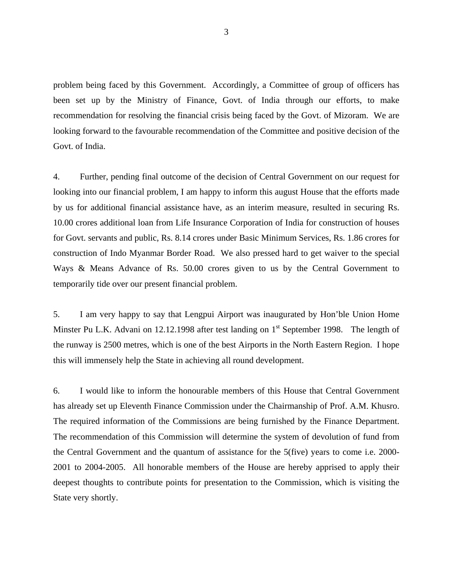problem being faced by this Government. Accordingly, a Committee of group of officers has been set up by the Ministry of Finance, Govt. of India through our efforts, to make recommendation for resolving the financial crisis being faced by the Govt. of Mizoram. We are looking forward to the favourable recommendation of the Committee and positive decision of the Govt. of India.

4. Further, pending final outcome of the decision of Central Government on our request for looking into our financial problem, I am happy to inform this august House that the efforts made by us for additional financial assistance have, as an interim measure, resulted in securing Rs. 10.00 crores additional loan from Life Insurance Corporation of India for construction of houses for Govt. servants and public, Rs. 8.14 crores under Basic Minimum Services, Rs. 1.86 crores for construction of Indo Myanmar Border Road. We also pressed hard to get waiver to the special Ways & Means Advance of Rs. 50.00 crores given to us by the Central Government to temporarily tide over our present financial problem.

5. I am very happy to say that Lengpui Airport was inaugurated by Hon'ble Union Home Minster Pu L.K. Advani on 12.12.1998 after test landing on 1<sup>st</sup> September 1998. The length of the runway is 2500 metres, which is one of the best Airports in the North Eastern Region. I hope this will immensely help the State in achieving all round development.

6. I would like to inform the honourable members of this House that Central Government has already set up Eleventh Finance Commission under the Chairmanship of Prof. A.M. Khusro. The required information of the Commissions are being furnished by the Finance Department. The recommendation of this Commission will determine the system of devolution of fund from the Central Government and the quantum of assistance for the 5(five) years to come i.e. 2000- 2001 to 2004-2005. All honorable members of the House are hereby apprised to apply their deepest thoughts to contribute points for presentation to the Commission, which is visiting the State very shortly.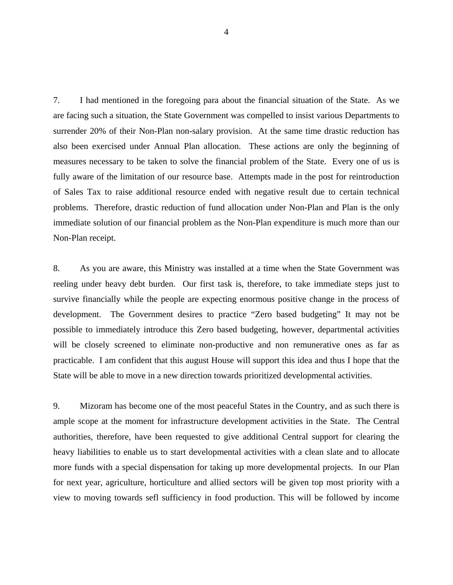7. I had mentioned in the foregoing para about the financial situation of the State. As we are facing such a situation, the State Government was compelled to insist various Departments to surrender 20% of their Non-Plan non-salary provision. At the same time drastic reduction has also been exercised under Annual Plan allocation. These actions are only the beginning of measures necessary to be taken to solve the financial problem of the State. Every one of us is fully aware of the limitation of our resource base. Attempts made in the post for reintroduction of Sales Tax to raise additional resource ended with negative result due to certain technical problems. Therefore, drastic reduction of fund allocation under Non-Plan and Plan is the only immediate solution of our financial problem as the Non-Plan expenditure is much more than our Non-Plan receipt.

8. As you are aware, this Ministry was installed at a time when the State Government was reeling under heavy debt burden. Our first task is, therefore, to take immediate steps just to survive financially while the people are expecting enormous positive change in the process of development. The Government desires to practice "Zero based budgeting" It may not be possible to immediately introduce this Zero based budgeting, however, departmental activities will be closely screened to eliminate non-productive and non remunerative ones as far as practicable. I am confident that this august House will support this idea and thus I hope that the State will be able to move in a new direction towards prioritized developmental activities.

9. Mizoram has become one of the most peaceful States in the Country, and as such there is ample scope at the moment for infrastructure development activities in the State. The Central authorities, therefore, have been requested to give additional Central support for clearing the heavy liabilities to enable us to start developmental activities with a clean slate and to allocate more funds with a special dispensation for taking up more developmental projects. In our Plan for next year, agriculture, horticulture and allied sectors will be given top most priority with a view to moving towards sefl sufficiency in food production. This will be followed by income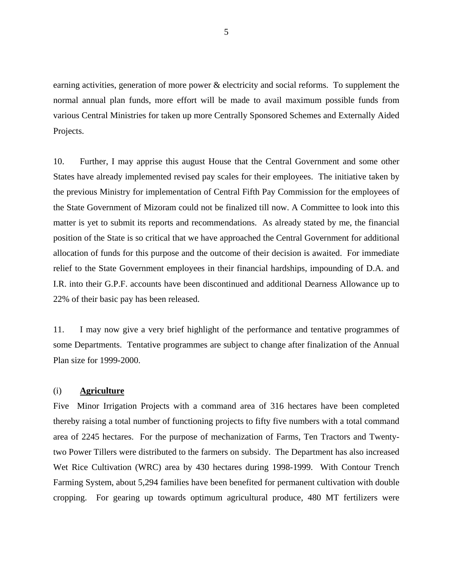earning activities, generation of more power & electricity and social reforms. To supplement the normal annual plan funds, more effort will be made to avail maximum possible funds from various Central Ministries for taken up more Centrally Sponsored Schemes and Externally Aided Projects.

10. Further, I may apprise this august House that the Central Government and some other States have already implemented revised pay scales for their employees. The initiative taken by the previous Ministry for implementation of Central Fifth Pay Commission for the employees of the State Government of Mizoram could not be finalized till now. A Committee to look into this matter is yet to submit its reports and recommendations. As already stated by me, the financial position of the State is so critical that we have approached the Central Government for additional allocation of funds for this purpose and the outcome of their decision is awaited. For immediate relief to the State Government employees in their financial hardships, impounding of D.A. and I.R. into their G.P.F. accounts have been discontinued and additional Dearness Allowance up to 22% of their basic pay has been released.

11. I may now give a very brief highlight of the performance and tentative programmes of some Departments. Tentative programmes are subject to change after finalization of the Annual Plan size for 1999-2000.

# (i) **Agriculture**

Five Minor Irrigation Projects with a command area of 316 hectares have been completed thereby raising a total number of functioning projects to fifty five numbers with a total command area of 2245 hectares. For the purpose of mechanization of Farms, Ten Tractors and Twentytwo Power Tillers were distributed to the farmers on subsidy. The Department has also increased Wet Rice Cultivation (WRC) area by 430 hectares during 1998-1999. With Contour Trench Farming System, about 5,294 families have been benefited for permanent cultivation with double cropping. For gearing up towards optimum agricultural produce, 480 MT fertilizers were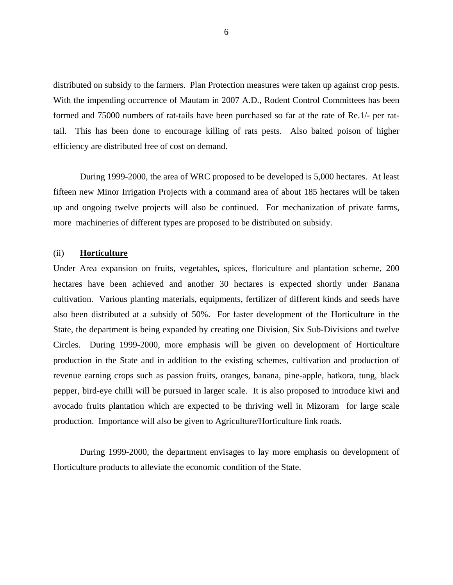distributed on subsidy to the farmers. Plan Protection measures were taken up against crop pests. With the impending occurrence of Mautam in 2007 A.D., Rodent Control Committees has been formed and 75000 numbers of rat-tails have been purchased so far at the rate of Re.1/- per rattail. This has been done to encourage killing of rats pests. Also baited poison of higher efficiency are distributed free of cost on demand.

 During 1999-2000, the area of WRC proposed to be developed is 5,000 hectares. At least fifteen new Minor Irrigation Projects with a command area of about 185 hectares will be taken up and ongoing twelve projects will also be continued. For mechanization of private farms, more machineries of different types are proposed to be distributed on subsidy.

#### (ii) **Horticulture**

Under Area expansion on fruits, vegetables, spices, floriculture and plantation scheme, 200 hectares have been achieved and another 30 hectares is expected shortly under Banana cultivation. Various planting materials, equipments, fertilizer of different kinds and seeds have also been distributed at a subsidy of 50%. For faster development of the Horticulture in the State, the department is being expanded by creating one Division, Six Sub-Divisions and twelve Circles. During 1999-2000, more emphasis will be given on development of Horticulture production in the State and in addition to the existing schemes, cultivation and production of revenue earning crops such as passion fruits, oranges, banana, pine-apple, hatkora, tung, black pepper, bird-eye chilli will be pursued in larger scale. It is also proposed to introduce kiwi and avocado fruits plantation which are expected to be thriving well in Mizoram for large scale production. Importance will also be given to Agriculture/Horticulture link roads.

 During 1999-2000, the department envisages to lay more emphasis on development of Horticulture products to alleviate the economic condition of the State.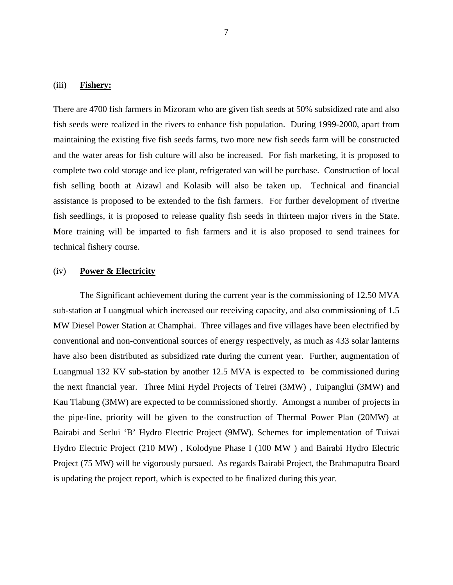#### (iii) **Fishery:**

There are 4700 fish farmers in Mizoram who are given fish seeds at 50% subsidized rate and also fish seeds were realized in the rivers to enhance fish population. During 1999-2000, apart from maintaining the existing five fish seeds farms, two more new fish seeds farm will be constructed and the water areas for fish culture will also be increased. For fish marketing, it is proposed to complete two cold storage and ice plant, refrigerated van will be purchase. Construction of local fish selling booth at Aizawl and Kolasib will also be taken up. Technical and financial assistance is proposed to be extended to the fish farmers. For further development of riverine fish seedlings, it is proposed to release quality fish seeds in thirteen major rivers in the State. More training will be imparted to fish farmers and it is also proposed to send trainees for technical fishery course.

#### (iv) **Power & Electricity**

The Significant achievement during the current year is the commissioning of 12.50 MVA sub-station at Luangmual which increased our receiving capacity, and also commissioning of 1.5 MW Diesel Power Station at Champhai. Three villages and five villages have been electrified by conventional and non-conventional sources of energy respectively, as much as 433 solar lanterns have also been distributed as subsidized rate during the current year. Further, augmentation of Luangmual 132 KV sub-station by another 12.5 MVA is expected to be commissioned during the next financial year. Three Mini Hydel Projects of Teirei (3MW) , Tuipanglui (3MW) and Kau Tlabung (3MW) are expected to be commissioned shortly. Amongst a number of projects in the pipe-line, priority will be given to the construction of Thermal Power Plan (20MW) at Bairabi and Serlui 'B' Hydro Electric Project (9MW). Schemes for implementation of Tuivai Hydro Electric Project (210 MW) , Kolodyne Phase I (100 MW ) and Bairabi Hydro Electric Project (75 MW) will be vigorously pursued. As regards Bairabi Project, the Brahmaputra Board is updating the project report, which is expected to be finalized during this year.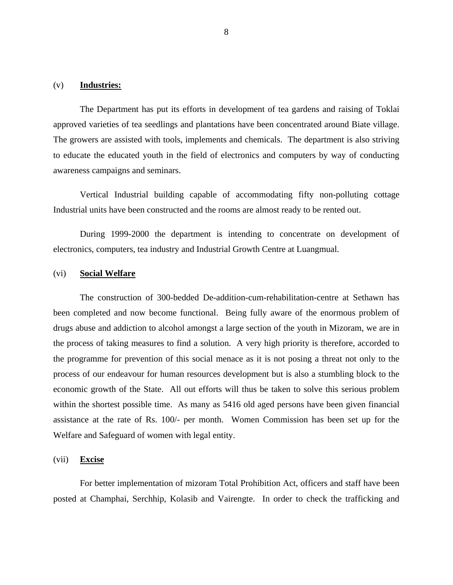# (v) **Industries:**

The Department has put its efforts in development of tea gardens and raising of Toklai approved varieties of tea seedlings and plantations have been concentrated around Biate village. The growers are assisted with tools, implements and chemicals. The department is also striving to educate the educated youth in the field of electronics and computers by way of conducting awareness campaigns and seminars.

 Vertical Industrial building capable of accommodating fifty non-polluting cottage Industrial units have been constructed and the rooms are almost ready to be rented out.

 During 1999-2000 the department is intending to concentrate on development of electronics, computers, tea industry and Industrial Growth Centre at Luangmual.

# (vi) **Social Welfare**

The construction of 300-bedded De-addition-cum-rehabilitation-centre at Sethawn has been completed and now become functional. Being fully aware of the enormous problem of drugs abuse and addiction to alcohol amongst a large section of the youth in Mizoram, we are in the process of taking measures to find a solution. A very high priority is therefore, accorded to the programme for prevention of this social menace as it is not posing a threat not only to the process of our endeavour for human resources development but is also a stumbling block to the economic growth of the State. All out efforts will thus be taken to solve this serious problem within the shortest possible time. As many as 5416 old aged persons have been given financial assistance at the rate of Rs. 100/- per month. Women Commission has been set up for the Welfare and Safeguard of women with legal entity.

# (vii) **Excise**

For better implementation of mizoram Total Prohibition Act, officers and staff have been posted at Champhai, Serchhip, Kolasib and Vairengte. In order to check the trafficking and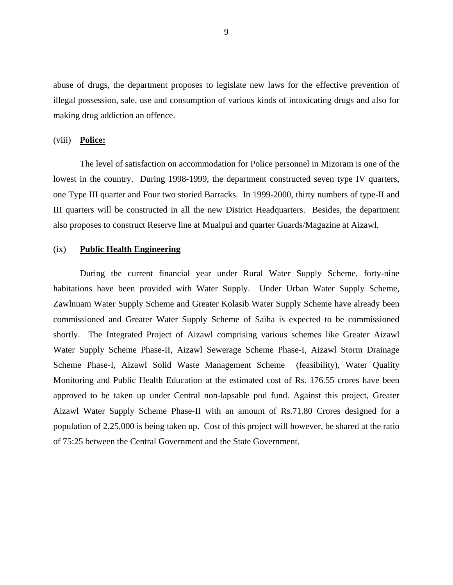abuse of drugs, the department proposes to legislate new laws for the effective prevention of illegal possession, sale, use and consumption of various kinds of intoxicating drugs and also for making drug addiction an offence.

#### (viii) **Police:**

The level of satisfaction on accommodation for Police personnel in Mizoram is one of the lowest in the country. During 1998-1999, the department constructed seven type IV quarters, one Type III quarter and Four two storied Barracks. In 1999-2000, thirty numbers of type-II and III quarters will be constructed in all the new District Headquarters. Besides, the department also proposes to construct Reserve line at Mualpui and quarter Guards/Magazine at Aizawl.

# (ix) **Public Health Engineering**

During the current financial year under Rural Water Supply Scheme, forty-nine habitations have been provided with Water Supply. Under Urban Water Supply Scheme, Zawlnuam Water Supply Scheme and Greater Kolasib Water Supply Scheme have already been commissioned and Greater Water Supply Scheme of Saiha is expected to be commissioned shortly. The Integrated Project of Aizawl comprising various schemes like Greater Aizawl Water Supply Scheme Phase-II, Aizawl Sewerage Scheme Phase-I, Aizawl Storm Drainage Scheme Phase-I, Aizawl Solid Waste Management Scheme (feasibility), Water Quality Monitoring and Public Health Education at the estimated cost of Rs. 176.55 crores have been approved to be taken up under Central non-lapsable pod fund. Against this project, Greater Aizawl Water Supply Scheme Phase-II with an amount of Rs.71.80 Crores designed for a population of 2,25,000 is being taken up. Cost of this project will however, be shared at the ratio of 75:25 between the Central Government and the State Government.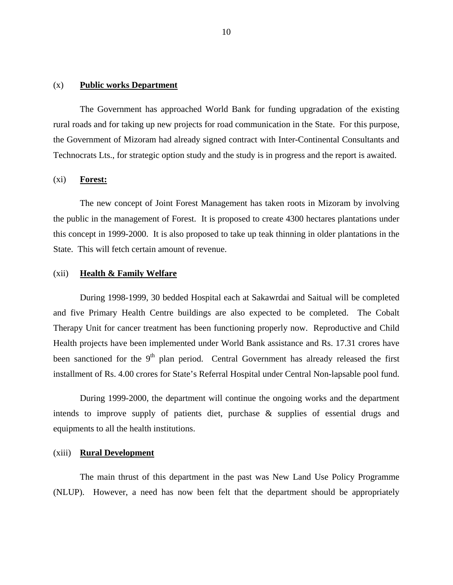#### (x) **Public works Department**

The Government has approached World Bank for funding upgradation of the existing rural roads and for taking up new projects for road communication in the State. For this purpose, the Government of Mizoram had already signed contract with Inter-Continental Consultants and Technocrats Lts., for strategic option study and the study is in progress and the report is awaited.

#### (xi) **Forest:**

The new concept of Joint Forest Management has taken roots in Mizoram by involving the public in the management of Forest. It is proposed to create 4300 hectares plantations under this concept in 1999-2000. It is also proposed to take up teak thinning in older plantations in the State. This will fetch certain amount of revenue.

# (xii) **Health & Family Welfare**

During 1998-1999, 30 bedded Hospital each at Sakawrdai and Saitual will be completed and five Primary Health Centre buildings are also expected to be completed. The Cobalt Therapy Unit for cancer treatment has been functioning properly now. Reproductive and Child Health projects have been implemented under World Bank assistance and Rs. 17.31 crores have been sanctioned for the  $9<sup>th</sup>$  plan period. Central Government has already released the first installment of Rs. 4.00 crores for State's Referral Hospital under Central Non-lapsable pool fund.

 During 1999-2000, the department will continue the ongoing works and the department intends to improve supply of patients diet, purchase & supplies of essential drugs and equipments to all the health institutions.

# (xiii) **Rural Development**

The main thrust of this department in the past was New Land Use Policy Programme (NLUP). However, a need has now been felt that the department should be appropriately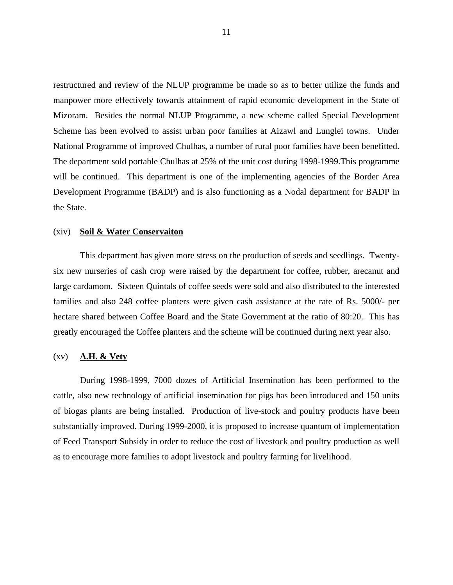restructured and review of the NLUP programme be made so as to better utilize the funds and manpower more effectively towards attainment of rapid economic development in the State of Mizoram. Besides the normal NLUP Programme, a new scheme called Special Development Scheme has been evolved to assist urban poor families at Aizawl and Lunglei towns. Under National Programme of improved Chulhas, a number of rural poor families have been benefitted. The department sold portable Chulhas at 25% of the unit cost during 1998-1999.This programme will be continued. This department is one of the implementing agencies of the Border Area Development Programme (BADP) and is also functioning as a Nodal department for BADP in the State.

#### (xiv) **Soil & Water Conservaiton**

This department has given more stress on the production of seeds and seedlings. Twentysix new nurseries of cash crop were raised by the department for coffee, rubber, arecanut and large cardamom. Sixteen Quintals of coffee seeds were sold and also distributed to the interested families and also 248 coffee planters were given cash assistance at the rate of Rs. 5000/- per hectare shared between Coffee Board and the State Government at the ratio of 80:20. This has greatly encouraged the Coffee planters and the scheme will be continued during next year also.

# (xv) **A.H. & Vety**

During 1998-1999, 7000 dozes of Artificial Insemination has been performed to the cattle, also new technology of artificial insemination for pigs has been introduced and 150 units of biogas plants are being installed. Production of live-stock and poultry products have been substantially improved. During 1999-2000, it is proposed to increase quantum of implementation of Feed Transport Subsidy in order to reduce the cost of livestock and poultry production as well as to encourage more families to adopt livestock and poultry farming for livelihood.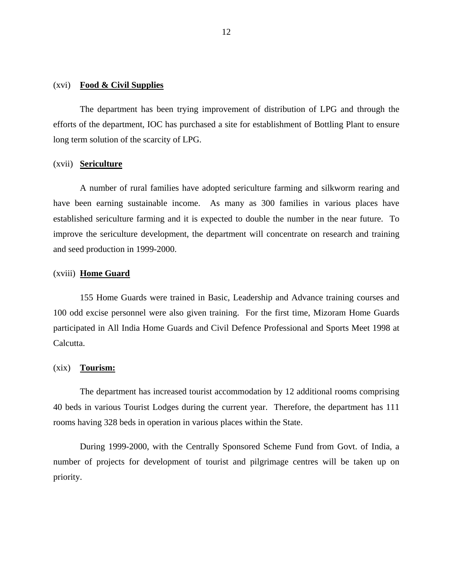# (xvi) **Food & Civil Supplies**

The department has been trying improvement of distribution of LPG and through the efforts of the department, IOC has purchased a site for establishment of Bottling Plant to ensure long term solution of the scarcity of LPG.

#### (xvii) **Sericulture**

A number of rural families have adopted sericulture farming and silkworm rearing and have been earning sustainable income. As many as 300 families in various places have established sericulture farming and it is expected to double the number in the near future. To improve the sericulture development, the department will concentrate on research and training and seed production in 1999-2000.

# (xviii) **Home Guard**

155 Home Guards were trained in Basic, Leadership and Advance training courses and 100 odd excise personnel were also given training. For the first time, Mizoram Home Guards participated in All India Home Guards and Civil Defence Professional and Sports Meet 1998 at Calcutta.

#### (xix) **Tourism:**

The department has increased tourist accommodation by 12 additional rooms comprising 40 beds in various Tourist Lodges during the current year. Therefore, the department has 111 rooms having 328 beds in operation in various places within the State.

 During 1999-2000, with the Centrally Sponsored Scheme Fund from Govt. of India, a number of projects for development of tourist and pilgrimage centres will be taken up on priority.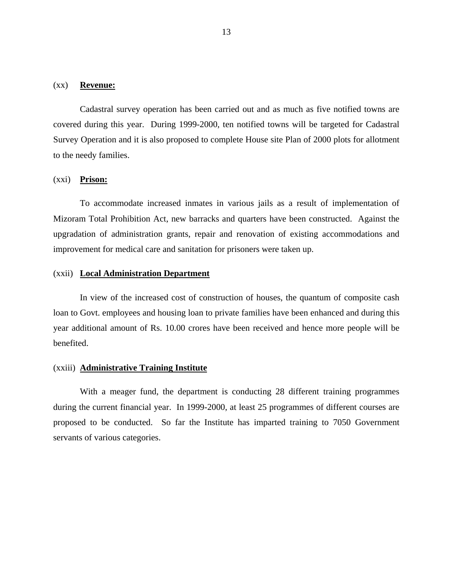#### (xx) **Revenue:**

Cadastral survey operation has been carried out and as much as five notified towns are covered during this year. During 1999-2000, ten notified towns will be targeted for Cadastral Survey Operation and it is also proposed to complete House site Plan of 2000 plots for allotment to the needy families.

#### (xxi) **Prison:**

To accommodate increased inmates in various jails as a result of implementation of Mizoram Total Prohibition Act, new barracks and quarters have been constructed. Against the upgradation of administration grants, repair and renovation of existing accommodations and improvement for medical care and sanitation for prisoners were taken up.

#### (xxii) **Local Administration Department**

In view of the increased cost of construction of houses, the quantum of composite cash loan to Govt. employees and housing loan to private families have been enhanced and during this year additional amount of Rs. 10.00 crores have been received and hence more people will be benefited.

#### (xxiii) **Administrative Training Institute**

With a meager fund, the department is conducting 28 different training programmes during the current financial year. In 1999-2000, at least 25 programmes of different courses are proposed to be conducted. So far the Institute has imparted training to 7050 Government servants of various categories.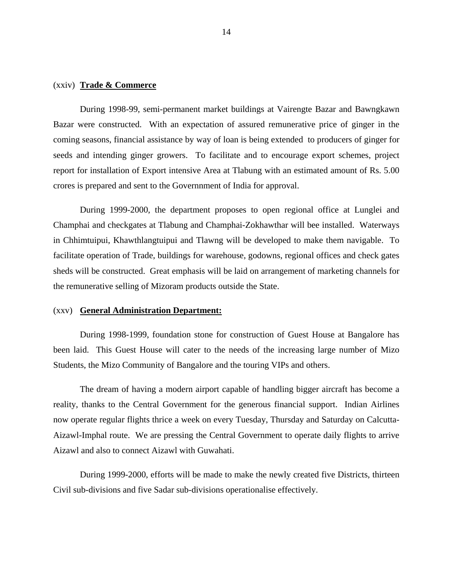# (xxiv) **Trade & Commerce**

During 1998-99, semi-permanent market buildings at Vairengte Bazar and Bawngkawn Bazar were constructed. With an expectation of assured remunerative price of ginger in the coming seasons, financial assistance by way of loan is being extended to producers of ginger for seeds and intending ginger growers. To facilitate and to encourage export schemes, project report for installation of Export intensive Area at Tlabung with an estimated amount of Rs. 5.00 crores is prepared and sent to the Governnment of India for approval.

 During 1999-2000, the department proposes to open regional office at Lunglei and Champhai and checkgates at Tlabung and Champhai-Zokhawthar will bee installed. Waterways in Chhimtuipui, Khawthlangtuipui and Tlawng will be developed to make them navigable. To facilitate operation of Trade, buildings for warehouse, godowns, regional offices and check gates sheds will be constructed. Great emphasis will be laid on arrangement of marketing channels for the remunerative selling of Mizoram products outside the State.

#### (xxv) **General Administration Department:**

During 1998-1999, foundation stone for construction of Guest House at Bangalore has been laid. This Guest House will cater to the needs of the increasing large number of Mizo Students, the Mizo Community of Bangalore and the touring VIPs and others.

 The dream of having a modern airport capable of handling bigger aircraft has become a reality, thanks to the Central Government for the generous financial support. Indian Airlines now operate regular flights thrice a week on every Tuesday, Thursday and Saturday on Calcutta-Aizawl-Imphal route. We are pressing the Central Government to operate daily flights to arrive Aizawl and also to connect Aizawl with Guwahati.

 During 1999-2000, efforts will be made to make the newly created five Districts, thirteen Civil sub-divisions and five Sadar sub-divisions operationalise effectively.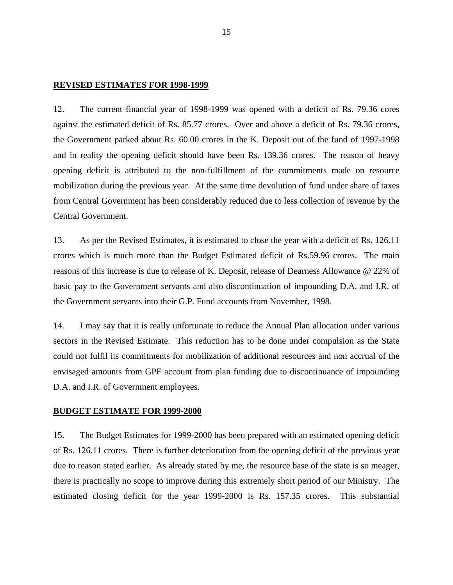#### **REVISED ESTIMATES FOR 1998-1999**

12. The current financial year of 1998-1999 was opened with a deficit of Rs. 79.36 cores against the estimated deficit of Rs. 85.77 crores. Over and above a deficit of Rs. 79.36 crores, the Government parked about Rs. 60.00 crores in the K. Deposit out of the fund of 1997-1998 and in reality the opening deficit should have been Rs. 139.36 crores. The reason of heavy opening deficit is attributed to the non-fulfillment of the commitments made on resource mobilization during the previous year. At the same time devolution of fund under share of taxes from Central Government has been considerably reduced due to less collection of revenue by the Central Government.

13. As per the Revised Estimates, it is estimated to close the year with a deficit of Rs. 126.11 crores which is much more than the Budget Estimated deficit of Rs.59.96 crores. The main reasons of this increase is due to release of K. Deposit, release of Dearness Allowance @ 22% of basic pay to the Government servants and also discontinuation of impounding D.A. and I.R. of the Government servants into their G.P. Fund accounts from November, 1998.

14. I may say that it is really unfortunate to reduce the Annual Plan allocation under various sectors in the Revised Estimate. This reduction has to be done under compulsion as the State could not fulfil its commitments for mobilization of additional resources and non accrual of the envisaged amounts from GPF account from plan funding due to discontinuance of impounding D.A. and I.R. of Government employees.

#### **BUDGET ESTIMATE FOR 1999-2000**

15. The Budget Estimates for 1999-2000 has been prepared with an estimated opening deficit of Rs. 126.11 crores. There is further deterioration from the opening deficit of the previous year due to reason stated earlier. As already stated by me, the resource base of the state is so meager, there is practically no scope to improve during this extremely short period of our Ministry. The estimated closing deficit for the year 1999-2000 is Rs. 157.35 crores. This substantial